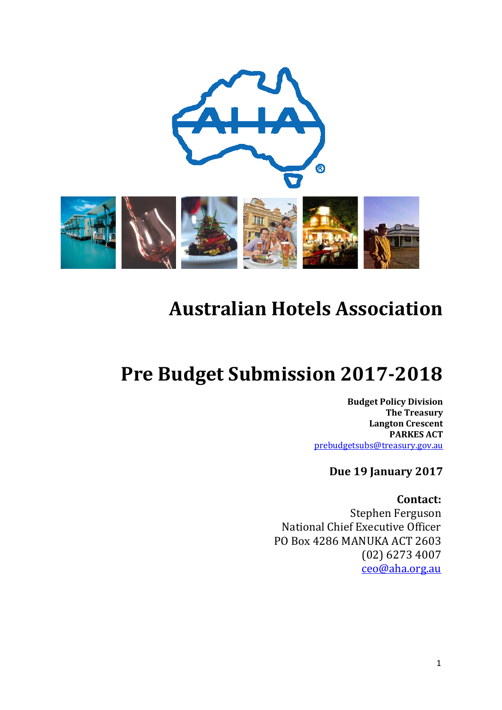

# **Australian Hotels Association**

# **Pre Budget Submission 2017-2018**

**Budget Policy Division The Treasury Langton Crescent PARKES ACT**  [prebudgetsubs@treasury.gov.au](mailto:prebudgetsubs@treasury.gov.au)

**Due 19 January 2017** 

**Contact:** Stephen Ferguson National Chief Executive Officer PO Box 4286 MANUKA ACT 2603 (02) 6273 4007 [ceo@aha.org.au](mailto:ceo@aha.org.au)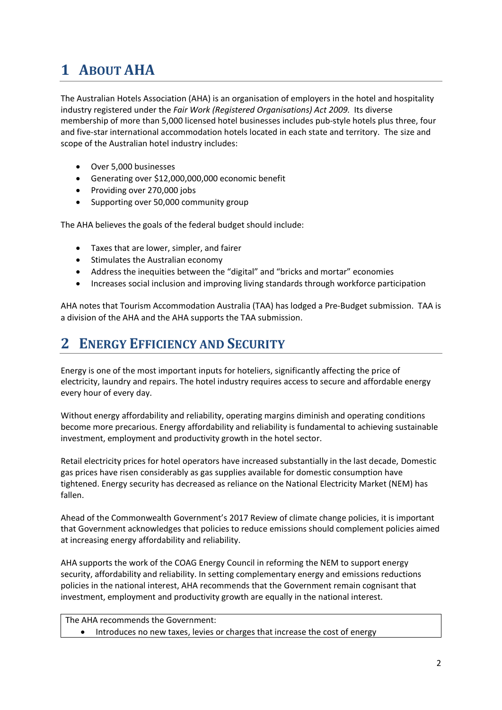# **1 ABOUT AHA**

The Australian Hotels Association (AHA) is an organisation of employers in the hotel and hospitality industry registered under the *Fair Work (Registered Organisations) Act 2009.* Its diverse membership of more than 5,000 licensed hotel businesses includes pub-style hotels plus three, four and five-star international accommodation hotels located in each state and territory. The size and scope of the Australian hotel industry includes:

- Over 5,000 businesses
- Generating over \$12,000,000,000 economic benefit
- Providing over 270,000 jobs
- Supporting over 50,000 community group

The AHA believes the goals of the federal budget should include:

- Taxes that are lower, simpler, and fairer
- Stimulates the Australian economy
- Address the inequities between the "digital" and "bricks and mortar" economies
- Increases social inclusion and improving living standards through workforce participation

AHA notes that Tourism Accommodation Australia (TAA) has lodged a Pre-Budget submission. TAA is a division of the AHA and the AHA supports the TAA submission.

## **2 ENERGY EFFICIENCY AND SECURITY**

Energy is one of the most important inputs for hoteliers, significantly affecting the price of electricity, laundry and repairs. The hotel industry requires access to secure and affordable energy every hour of every day.

Without energy affordability and reliability, operating margins diminish and operating conditions become more precarious. Energy affordability and reliability is fundamental to achieving sustainable investment, employment and productivity growth in the hotel sector.

Retail electricity prices for hotel operators have increased substantially in the last decade, Domestic gas prices have risen considerably as gas supplies available for domestic consumption have tightened. Energy security has decreased as reliance on the National Electricity Market (NEM) has fallen.

Ahead of the Commonwealth Government's 2017 Review of climate change policies, it is important that Government acknowledges that policies to reduce emissions should complement policies aimed at increasing energy affordability and reliability.

AHA supports the work of the COAG Energy Council in reforming the NEM to support energy security, affordability and reliability. In setting complementary energy and emissions reductions policies in the national interest, AHA recommends that the Government remain cognisant that investment, employment and productivity growth are equally in the national interest.

```
The AHA recommends the Government:
```

```
• Introduces no new taxes, levies or charges that increase the cost of energy
```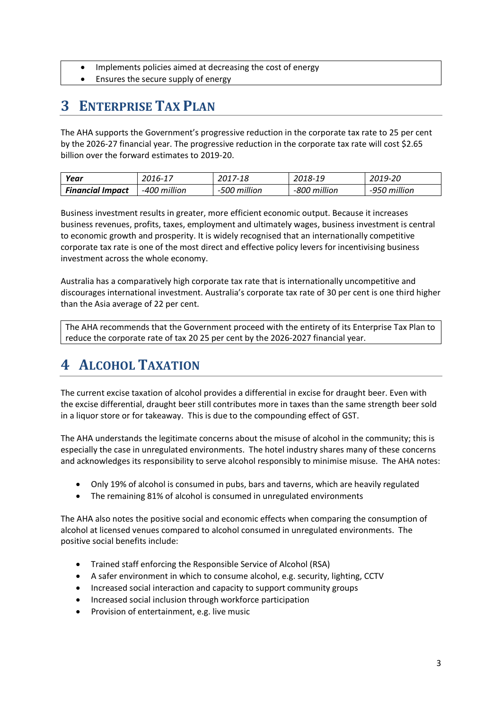- Implements policies aimed at decreasing the cost of energy
- Ensures the secure supply of energy

# **3 ENTERPRISE TAX PLAN**

The AHA supports the Government's progressive reduction in the corporate tax rate to 25 per cent by the 2026-27 financial year. The progressive reduction in the corporate tax rate will cost \$2.65 billion over the forward estimates to 2019-20.

| Year                    | 2016-17      | 2017-18      | 2018-19      | 2019-20      |
|-------------------------|--------------|--------------|--------------|--------------|
| <b>Financial Impact</b> | -400 million | -500 million | -800 million | -950 million |

Business investment results in greater, more efficient economic output. Because it increases business revenues, profits, taxes, employment and ultimately wages, business investment is central to economic growth and prosperity. It is widely recognised that an internationally competitive corporate tax rate is one of the most direct and effective policy levers for incentivising business investment across the whole economy.

Australia has a comparatively high corporate tax rate that is internationally uncompetitive and discourages international investment. Australia's corporate tax rate of 30 per cent is one third higher than the Asia average of 22 per cent.

The AHA recommends that the Government proceed with the entirety of its Enterprise Tax Plan to reduce the corporate rate of tax 20 25 per cent by the 2026-2027 financial year.

## **4 ALCOHOL TAXATION**

The current excise taxation of alcohol provides a differential in excise for draught beer. Even with the excise differential, draught beer still contributes more in taxes than the same strength beer sold in a liquor store or for takeaway. This is due to the compounding effect of GST.

The AHA understands the legitimate concerns about the misuse of alcohol in the community; this is especially the case in unregulated environments. The hotel industry shares many of these concerns and acknowledges its responsibility to serve alcohol responsibly to minimise misuse. The AHA notes:

- Only 19% of alcohol is consumed in pubs, bars and taverns, which are heavily regulated
- The remaining 81% of alcohol is consumed in unregulated environments

The AHA also notes the positive social and economic effects when comparing the consumption of alcohol at licensed venues compared to alcohol consumed in unregulated environments. The positive social benefits include:

- Trained staff enforcing the Responsible Service of Alcohol (RSA)
- A safer environment in which to consume alcohol, e.g. security, lighting, CCTV
- Increased social interaction and capacity to support community groups
- Increased social inclusion through workforce participation
- Provision of entertainment, e.g. live music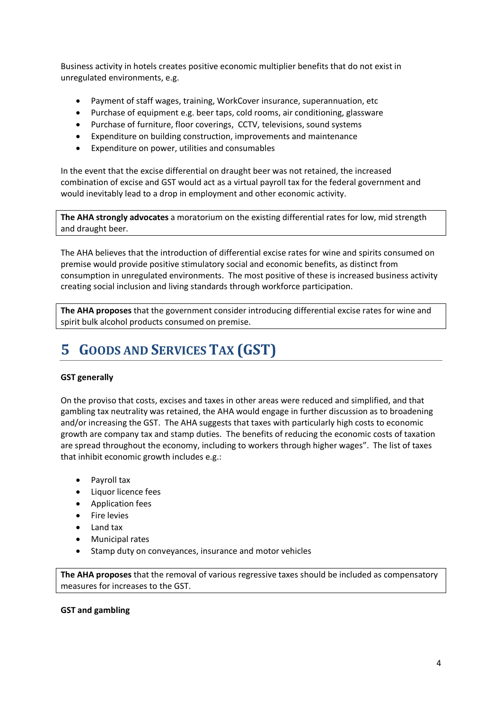Business activity in hotels creates positive economic multiplier benefits that do not exist in unregulated environments, e.g.

- Payment of staff wages, training, WorkCover insurance, superannuation, etc
- Purchase of equipment e.g. beer taps, cold rooms, air conditioning, glassware
- Purchase of furniture, floor coverings, CCTV, televisions, sound systems
- Expenditure on building construction, improvements and maintenance
- Expenditure on power, utilities and consumables

In the event that the excise differential on draught beer was not retained, the increased combination of excise and GST would act as a virtual payroll tax for the federal government and would inevitably lead to a drop in employment and other economic activity.

**The AHA strongly advocates** a moratorium on the existing differential rates for low, mid strength and draught beer.

The AHA believes that the introduction of differential excise rates for wine and spirits consumed on premise would provide positive stimulatory social and economic benefits, as distinct from consumption in unregulated environments. The most positive of these is increased business activity creating social inclusion and living standards through workforce participation.

**The AHA proposes** that the government consider introducing differential excise rates for wine and spirit bulk alcohol products consumed on premise.

# **5 GOODS AND SERVICES TAX (GST)**

#### **GST generally**

On the proviso that costs, excises and taxes in other areas were reduced and simplified, and that gambling tax neutrality was retained, the AHA would engage in further discussion as to broadening and/or increasing the GST. The AHA suggests that taxes with particularly high costs to economic growth are company tax and stamp duties. The benefits of reducing the economic costs of taxation are spread throughout the economy, including to workers through higher wages". The list of taxes that inhibit economic growth includes e.g.:

- Payroll tax
- Liquor licence fees
- Application fees
- Fire levies
- Land tax
- Municipal rates
- Stamp duty on conveyances, insurance and motor vehicles

**The AHA proposes** that the removal of various regressive taxes should be included as compensatory measures for increases to the GST.

#### **GST and gambling**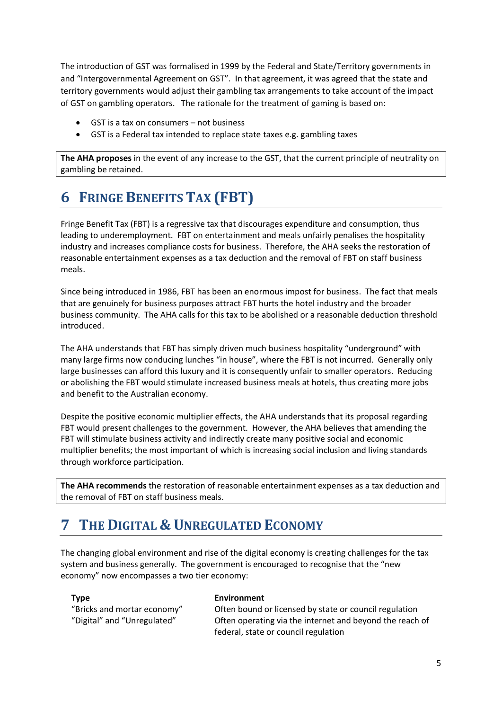The introduction of GST was formalised in 1999 by the Federal and State/Territory governments in and "Intergovernmental Agreement on GST". In that agreement, it was agreed that the state and territory governments would adjust their gambling tax arrangements to take account of the impact of GST on gambling operators. The rationale for the treatment of gaming is based on:

- GST is a tax on consumers not business
- GST is a Federal tax intended to replace state taxes e.g. gambling taxes

**The AHA proposes** in the event of any increase to the GST, that the current principle of neutrality on gambling be retained.

# **6 FRINGE BENEFITS TAX (FBT)**

Fringe Benefit Tax (FBT) is a regressive tax that discourages expenditure and consumption, thus leading to underemployment. FBT on entertainment and meals unfairly penalises the hospitality industry and increases compliance costs for business. Therefore, the AHA seeks the restoration of reasonable entertainment expenses as a tax deduction and the removal of FBT on staff business meals.

Since being introduced in 1986, FBT has been an enormous impost for business. The fact that meals that are genuinely for business purposes attract FBT hurts the hotel industry and the broader business community. The AHA calls for this tax to be abolished or a reasonable deduction threshold introduced.

The AHA understands that FBT has simply driven much business hospitality "underground" with many large firms now conducing lunches "in house", where the FBT is not incurred. Generally only large businesses can afford this luxury and it is consequently unfair to smaller operators. Reducing or abolishing the FBT would stimulate increased business meals at hotels, thus creating more jobs and benefit to the Australian economy.

Despite the positive economic multiplier effects, the AHA understands that its proposal regarding FBT would present challenges to the government. However, the AHA believes that amending the FBT will stimulate business activity and indirectly create many positive social and economic multiplier benefits; the most important of which is increasing social inclusion and living standards through workforce participation.

**The AHA recommends** the restoration of reasonable entertainment expenses as a tax deduction and the removal of FBT on staff business meals.

## **7 THE DIGITAL & UNREGULATED ECONOMY**

The changing global environment and rise of the digital economy is creating challenges for the tax system and business generally. The government is encouraged to recognise that the "new economy" now encompasses a two tier economy:

#### **Type Environment**

"Bricks and mortar economy" Often bound or licensed by state or council regulation "Digital" and "Unregulated" Often operating via the internet and beyond the reach of federal, state or council regulation